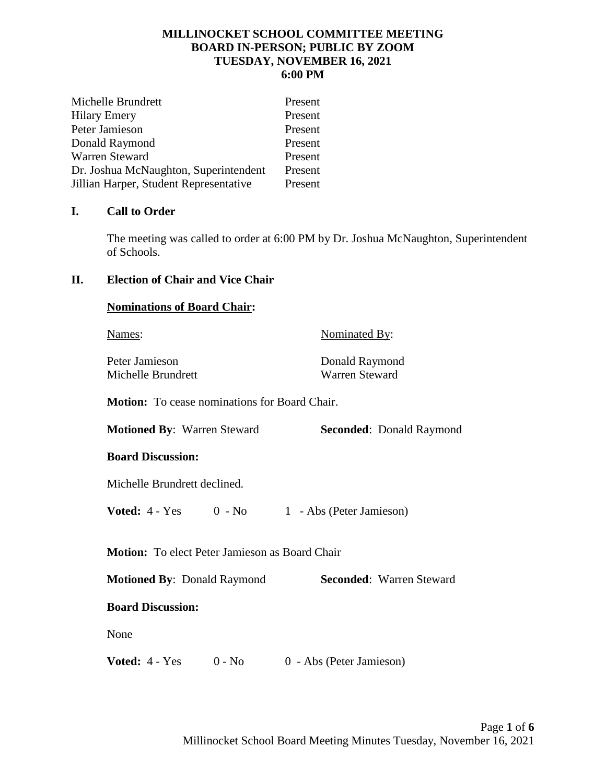### **MILLINOCKET SCHOOL COMMITTEE MEETING BOARD IN-PERSON; PUBLIC BY ZOOM TUESDAY, NOVEMBER 16, 2021 6:00 PM**

| Michelle Brundrett                     | Present |
|----------------------------------------|---------|
| <b>Hilary Emery</b>                    | Present |
| Peter Jamieson                         | Present |
| Donald Raymond                         | Present |
| Warren Steward                         | Present |
| Dr. Joshua McNaughton, Superintendent  | Present |
| Jillian Harper, Student Representative | Present |

## **I. Call to Order**

The meeting was called to order at 6:00 PM by Dr. Joshua McNaughton, Superintendent of Schools.

# **II. Election of Chair and Vice Chair**

Peter Jamieson Donald Raymond Michelle Brundrett Warren Steward

Names: Nominated By:

**Motion:** To cease nominations for Board Chair.

**Motioned By**: Warren Steward **Seconded**: Donald Raymond

### **Board Discussion:**

Michelle Brundrett declined.

**Voted:**  $4 - Yes$  0 - No 1 - Abs (Peter Jamieson)

**Motion:** To elect Peter Jamieson as Board Chair

**Motioned By: Donald Raymond <b>Seconded:** Warren Steward

### **Board Discussion:**

None

**Voted:**  $4 - Yes$  0 - No 0 - Abs (Peter Jamieson)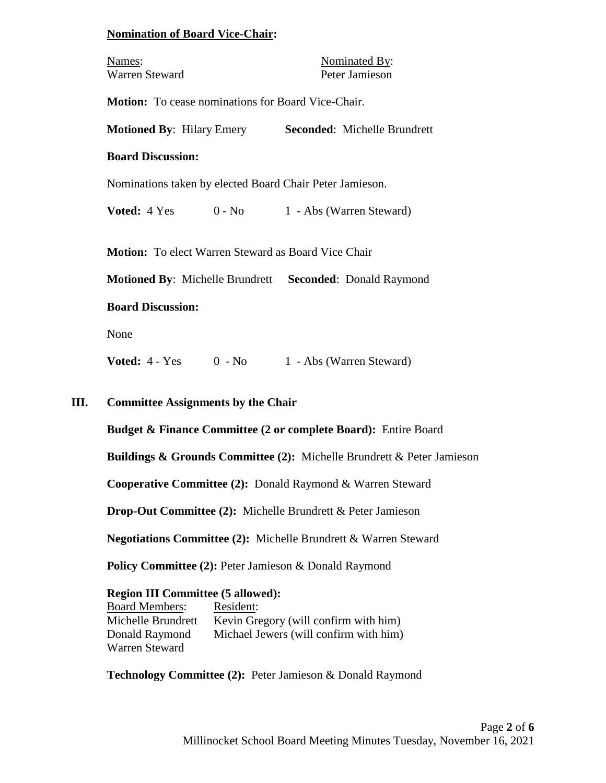#### **Nomination of Board Vice-Chair:**

| Names:         | Nominated By:  |
|----------------|----------------|
| Warren Steward | Peter Jamieson |

**Motion:** To cease nominations for Board Vice-Chair.

**Motioned By**: Hilary Emery **Seconded**: Michelle Brundrett

#### **Board Discussion:**

Nominations taken by elected Board Chair Peter Jamieson.

**Voted:**  $4 \text{ Yes}$  0 - No 1 - Abs (Warren Steward)

**Motion:** To elect Warren Steward as Board Vice Chair

**Motioned By**: Michelle Brundrett **Seconded**: Donald Raymond

#### **Board Discussion:**

None

**Voted:**  $4 - Yes$  0 - No 1 - Abs (Warren Steward)

### **III. Committee Assignments by the Chair**

**Budget & Finance Committee (2 or complete Board):** Entire Board

**Buildings & Grounds Committee (2):** Michelle Brundrett & Peter Jamieson

**Cooperative Committee (2):** Donald Raymond & Warren Steward

**Drop-Out Committee (2):** Michelle Brundrett & Peter Jamieson

**Negotiations Committee (2):** Michelle Brundrett & Warren Steward

Policy Committee (2): Peter Jamieson & Donald Raymond

### **Region III Committee (5 allowed):**

| <b>Board Members:</b> | Resident:                              |
|-----------------------|----------------------------------------|
| Michelle Brundrett    | Kevin Gregory (will confirm with him)  |
| Donald Raymond        | Michael Jewers (will confirm with him) |
| Warren Steward        |                                        |

**Technology Committee (2):** Peter Jamieson & Donald Raymond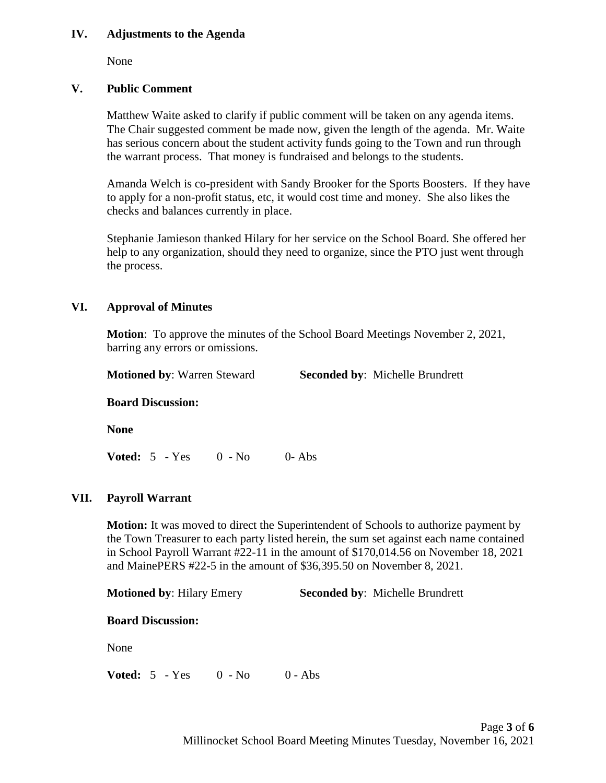### **IV. Adjustments to the Agenda**

None

# **V. Public Comment**

Matthew Waite asked to clarify if public comment will be taken on any agenda items. The Chair suggested comment be made now, given the length of the agenda. Mr. Waite has serious concern about the student activity funds going to the Town and run through the warrant process. That money is fundraised and belongs to the students.

Amanda Welch is co-president with Sandy Brooker for the Sports Boosters. If they have to apply for a non-profit status, etc, it would cost time and money. She also likes the checks and balances currently in place.

Stephanie Jamieson thanked Hilary for her service on the School Board. She offered her help to any organization, should they need to organize, since the PTO just went through the process.

## **VI. Approval of Minutes**

**Motion**: To approve the minutes of the School Board Meetings November 2, 2021, barring any errors or omissions.

**Motioned by**: Warren Steward **Seconded by**: Michelle Brundrett

### **Board Discussion:**

**None**

**Voted:** 5 - Yes 0 - No 0- Abs

### **VII. Payroll Warrant**

**Motion:** It was moved to direct the Superintendent of Schools to authorize payment by the Town Treasurer to each party listed herein, the sum set against each name contained in School Payroll Warrant #22-11 in the amount of \$170,014.56 on November 18, 2021 and MainePERS #22-5 in the amount of \$36,395.50 on November 8, 2021.

**Motioned by**: Hilary Emery **Seconded by**: Michelle Brundrett

#### **Board Discussion:**

None

**Voted:** 5 - Yes 0 - No 0 - Abs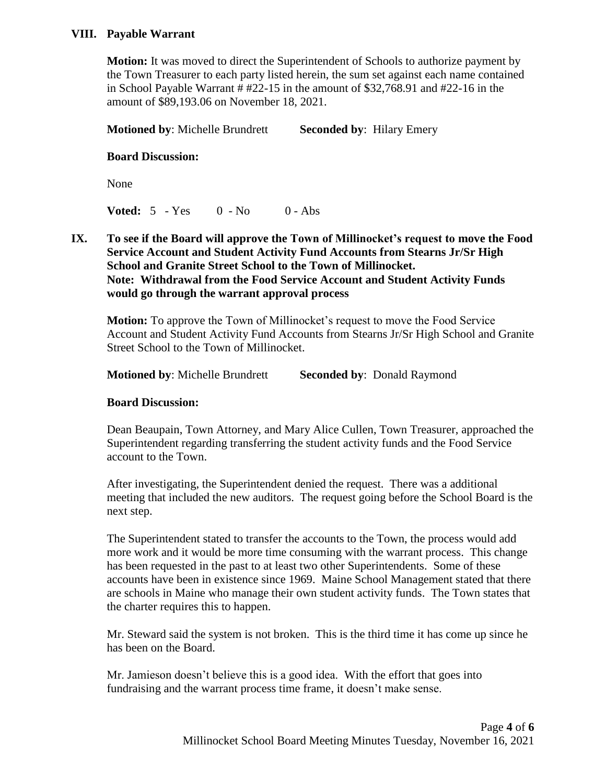### **VIII. Payable Warrant**

**Motion:** It was moved to direct the Superintendent of Schools to authorize payment by the Town Treasurer to each party listed herein, the sum set against each name contained in School Payable Warrant # #22-15 in the amount of \$32,768.91 and #22-16 in the amount of \$89,193.06 on November 18, 2021.

**Motioned by: Michelle Brundrett Seconded by: Hilary Emery** 

#### **Board Discussion:**

None

**Voted:** 5 - Yes 0 - No 0 - Abs

**IX. To see if the Board will approve the Town of Millinocket's request to move the Food Service Account and Student Activity Fund Accounts from Stearns Jr/Sr High School and Granite Street School to the Town of Millinocket. Note: Withdrawal from the Food Service Account and Student Activity Funds would go through the warrant approval process**

**Motion:** To approve the Town of Millinocket's request to move the Food Service Account and Student Activity Fund Accounts from Stearns Jr/Sr High School and Granite Street School to the Town of Millinocket.

**Motioned by: Michelle Brundrett Seconded by: Donald Raymond** 

#### **Board Discussion:**

Dean Beaupain, Town Attorney, and Mary Alice Cullen, Town Treasurer, approached the Superintendent regarding transferring the student activity funds and the Food Service account to the Town.

After investigating, the Superintendent denied the request. There was a additional meeting that included the new auditors. The request going before the School Board is the next step.

The Superintendent stated to transfer the accounts to the Town, the process would add more work and it would be more time consuming with the warrant process. This change has been requested in the past to at least two other Superintendents. Some of these accounts have been in existence since 1969. Maine School Management stated that there are schools in Maine who manage their own student activity funds. The Town states that the charter requires this to happen.

Mr. Steward said the system is not broken. This is the third time it has come up since he has been on the Board.

Mr. Jamieson doesn't believe this is a good idea. With the effort that goes into fundraising and the warrant process time frame, it doesn't make sense.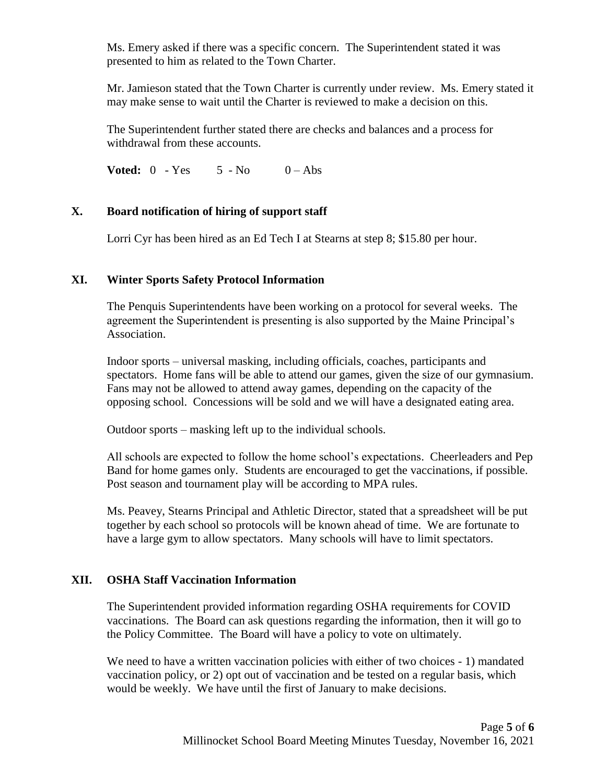Ms. Emery asked if there was a specific concern. The Superintendent stated it was presented to him as related to the Town Charter.

Mr. Jamieson stated that the Town Charter is currently under review. Ms. Emery stated it may make sense to wait until the Charter is reviewed to make a decision on this.

The Superintendent further stated there are checks and balances and a process for withdrawal from these accounts.

**Voted:**  $0 - Yes$  5 - No  $0 - Abs$ 

# **X. Board notification of hiring of support staff**

Lorri Cyr has been hired as an Ed Tech I at Stearns at step 8; \$15.80 per hour.

## **XI. Winter Sports Safety Protocol Information**

The Penquis Superintendents have been working on a protocol for several weeks. The agreement the Superintendent is presenting is also supported by the Maine Principal's Association.

Indoor sports – universal masking, including officials, coaches, participants and spectators. Home fans will be able to attend our games, given the size of our gymnasium. Fans may not be allowed to attend away games, depending on the capacity of the opposing school. Concessions will be sold and we will have a designated eating area.

Outdoor sports – masking left up to the individual schools.

All schools are expected to follow the home school's expectations. Cheerleaders and Pep Band for home games only. Students are encouraged to get the vaccinations, if possible. Post season and tournament play will be according to MPA rules.

Ms. Peavey, Stearns Principal and Athletic Director, stated that a spreadsheet will be put together by each school so protocols will be known ahead of time. We are fortunate to have a large gym to allow spectators. Many schools will have to limit spectators.

# **XII. OSHA Staff Vaccination Information**

The Superintendent provided information regarding OSHA requirements for COVID vaccinations. The Board can ask questions regarding the information, then it will go to the Policy Committee. The Board will have a policy to vote on ultimately.

We need to have a written vaccination policies with either of two choices - 1) mandated vaccination policy, or 2) opt out of vaccination and be tested on a regular basis, which would be weekly. We have until the first of January to make decisions.